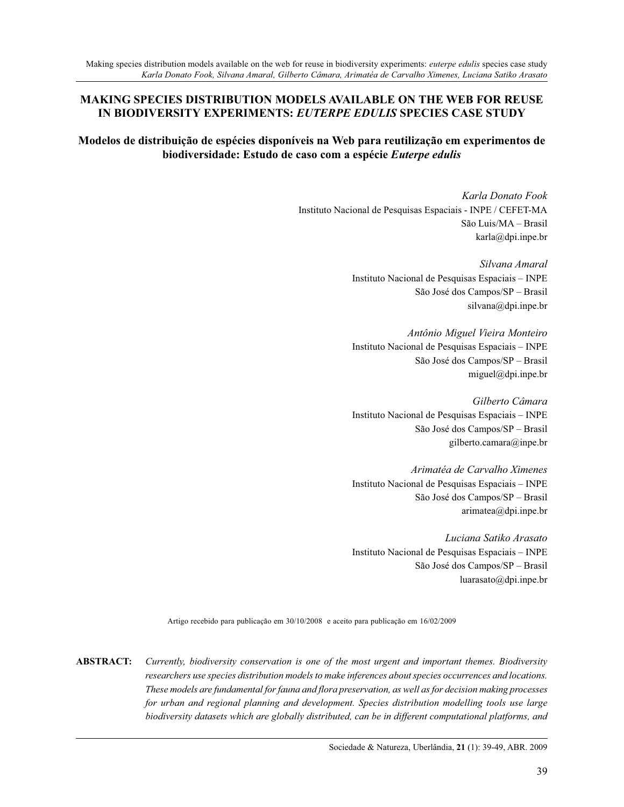#### **MAKING SPECIES DISTRIBUTION MODELS AVAILABLE ON THE WEB FOR REUSE IN BIODIVERSITY EXPERIMENTS:** *EUTERPE EDULIS* **SPECIES CASE STUDY**

# **Modelos de distribuição de espécies disponíveis na Web para reutilização em experimentos de biodiversidade: Estudo de caso com a espécie** *Euterpe edulis*

*Karla Donato Fook* Instituto Nacional de Pesquisas Espaciais - INPE / CEFET-MA São Luis/MA – Brasil karla@dpi.inpe.br

> *Silvana Amaral* Instituto Nacional de Pesquisas Espaciais – INPE São José dos Campos/SP – Brasil silvana@dpi.inpe.br

> *Antônio Miguel Vieira Monteiro* Instituto Nacional de Pesquisas Espaciais – INPE São José dos Campos/SP – Brasil miguel@dpi.inpe.br

> *Gilberto Câmara* Instituto Nacional de Pesquisas Espaciais – INPE São José dos Campos/SP – Brasil gilberto.camara@inpe.br

> *Arimatéa de Carvalho Ximenes* Instituto Nacional de Pesquisas Espaciais – INPE São José dos Campos/SP – Brasil arimatea@dpi.inpe.br

> *Luciana Satiko Arasato* Instituto Nacional de Pesquisas Espaciais – INPE São José dos Campos/SP – Brasil luarasato@dpi.inpe.br

Artigo recebido para publicação em 30/10/2008 e aceito para publicação em 16/02/2009

**ABSTRACT:** *Currently, biodiversity conservation is one of the most urgent and important themes. Biodiversity researchers use species distribution models to make inferences about species occurrences and locations. These models are fundamental for fauna and flora preservation, as well as for decision making processes for urban and regional planning and development. Species distribution modelling tools use large biodiversity datasets which are globally distributed, can be in different computational platforms, and*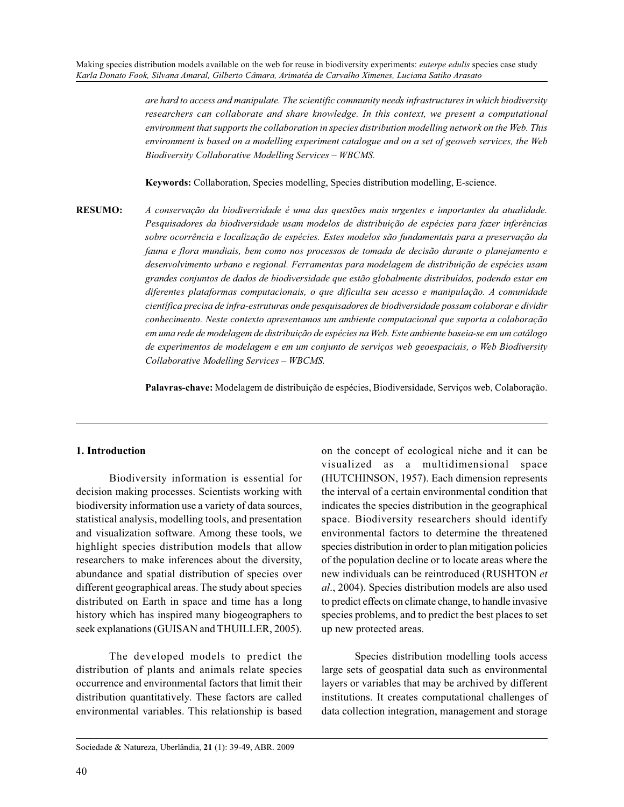*are hard to access and manipulate. The scientific community needs infrastructures in which biodiversity researchers can collaborate and share knowledge. In this context, we present a computational environment that supports the collaboration in species distribution modelling network on the Web. This environment is based on a modelling experiment catalogue and on a set of geoweb services, the Web Biodiversity Collaborative Modelling Services – WBCMS.*

**Keywords:** Collaboration, Species modelling, Species distribution modelling, E-science.

**RESUMO:** *A conservação da biodiversidade é uma das questões mais urgentes e importantes da atualidade. Pesquisadores da biodiversidade usam modelos de distribuição de espécies para fazer inferências sobre ocorrência e localização de espécies. Estes modelos são fundamentais para a preservação da fauna e flora mundiais, bem como nos processos de tomada de decisão durante o planejamento e desenvolvimento urbano e regional. Ferramentas para modelagem de distribuição de espécies usam grandes conjuntos de dados de biodiversidade que estão globalmente distribuídos, podendo estar em diferentes plataformas computacionais, o que dificulta seu acesso e manipulação. A comunidade científica precisa de infra-estruturas onde pesquisadores de biodiversidade possam colaborar e dividir conhecimento. Neste contexto apresentamos um ambiente computacional que suporta a colaboração em uma rede de modelagem de distribuição de espécies na Web. Este ambiente baseia-se em um catálogo de experimentos de modelagem e em um conjunto de serviços web geoespaciais, o Web Biodiversity Collaborative Modelling Services – WBCMS.*

**Palavras-chave:** Modelagem de distribuição de espécies, Biodiversidade, Serviços web, Colaboração.

#### **1. Introduction**

Biodiversity information is essential for decision making processes. Scientists working with biodiversity information use a variety of data sources, statistical analysis, modelling tools, and presentation and visualization software. Among these tools, we highlight species distribution models that allow researchers to make inferences about the diversity, abundance and spatial distribution of species over different geographical areas. The study about species distributed on Earth in space and time has a long history which has inspired many biogeographers to seek explanations (GUISAN and THUILLER, 2005).

The developed models to predict the distribution of plants and animals relate species occurrence and environmental factors that limit their distribution quantitatively. These factors are called environmental variables. This relationship is based

on the concept of ecological niche and it can be visualized as a multidimensional space (HUTCHINSON, 1957). Each dimension represents the interval of a certain environmental condition that indicates the species distribution in the geographical space. Biodiversity researchers should identify environmental factors to determine the threatened species distribution in order to plan mitigation policies of the population decline or to locate areas where the new individuals can be reintroduced (RUSHTON *et al*., 2004). Species distribution models are also used to predict effects on climate change, to handle invasive species problems, and to predict the best places to set up new protected areas.

Species distribution modelling tools access large sets of geospatial data such as environmental layers or variables that may be archived by different institutions. It creates computational challenges of data collection integration, management and storage

Sociedade & Natureza, Uberlândia, **21** (1): 39-49, ABR. 2009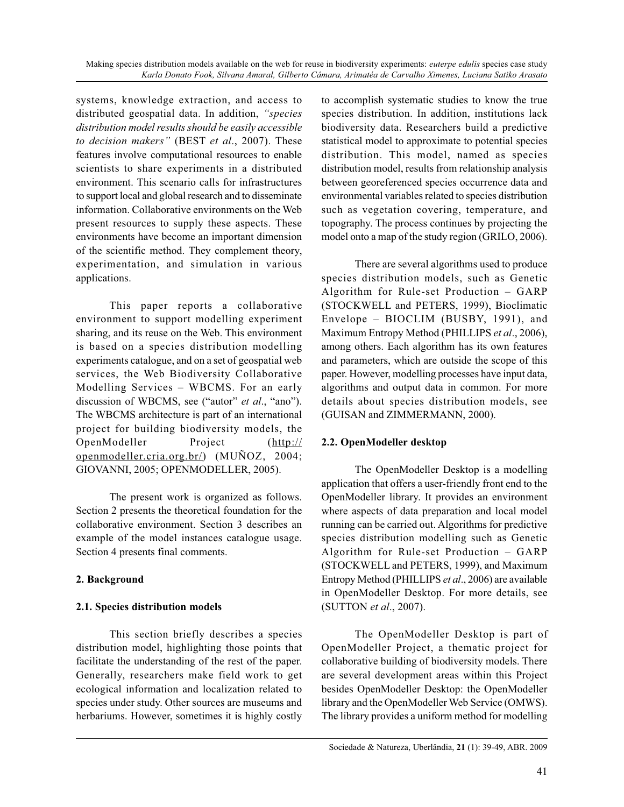systems, knowledge extraction, and access to distributed geospatial data. In addition, *"species distribution model results should be easily accessible to decision makers"* (BEST *et al*., 2007). These features involve computational resources to enable scientists to share experiments in a distributed environment. This scenario calls for infrastructures to support local and global research and to disseminate information. Collaborative environments on the Web present resources to supply these aspects. These environments have become an important dimension of the scientific method. They complement theory, experimentation, and simulation in various applications.

This paper reports a collaborative environment to support modelling experiment sharing, and its reuse on the Web. This environment is based on a species distribution modelling experiments catalogue, and on a set of geospatial web services, the Web Biodiversity Collaborative Modelling Services – WBCMS. For an early discussion of WBCMS, see ("autor" *et al*., "ano"). The WBCMS architecture is part of an international project for building biodiversity models, the OpenModeller Project (http:// openmodeller.cria.org.br/) (MUÑOZ, 2004; GIOVANNI, 2005; OPENMODELLER, 2005).

The present work is organized as follows. Section 2 presents the theoretical foundation for the collaborative environment. Section 3 describes an example of the model instances catalogue usage. Section 4 presents final comments.

## **2. Background**

## **2.1. Species distribution models**

This section briefly describes a species distribution model, highlighting those points that facilitate the understanding of the rest of the paper. Generally, researchers make field work to get ecological information and localization related to species under study. Other sources are museums and herbariums. However, sometimes it is highly costly

to accomplish systematic studies to know the true species distribution. In addition, institutions lack biodiversity data. Researchers build a predictive statistical model to approximate to potential species distribution. This model, named as species distribution model, results from relationship analysis between georeferenced species occurrence data and environmental variables related to species distribution such as vegetation covering, temperature, and topography. The process continues by projecting the model onto a map of the study region (GRILO, 2006).

There are several algorithms used to produce species distribution models, such as Genetic Algorithm for Rule-set Production – GARP (STOCKWELL and PETERS, 1999), Bioclimatic Envelope – BIOCLIM (BUSBY, 1991), and Maximum Entropy Method (PHILLIPS *et al*., 2006), among others. Each algorithm has its own features and parameters, which are outside the scope of this paper. However, modelling processes have input data, algorithms and output data in common. For more details about species distribution models, see (GUISAN and ZIMMERMANN, 2000).

## **2.2. OpenModeller desktop**

The OpenModeller Desktop is a modelling application that offers a user-friendly front end to the OpenModeller library. It provides an environment where aspects of data preparation and local model running can be carried out. Algorithms for predictive species distribution modelling such as Genetic Algorithm for Rule-set Production – GARP (STOCKWELL and PETERS, 1999), and Maximum Entropy Method (PHILLIPS *et al*., 2006) are available in OpenModeller Desktop. For more details, see (SUTTON *et al*., 2007).

The OpenModeller Desktop is part of OpenModeller Project, a thematic project for collaborative building of biodiversity models. There are several development areas within this Project besides OpenModeller Desktop: the OpenModeller library and the OpenModeller Web Service (OMWS). The library provides a uniform method for modelling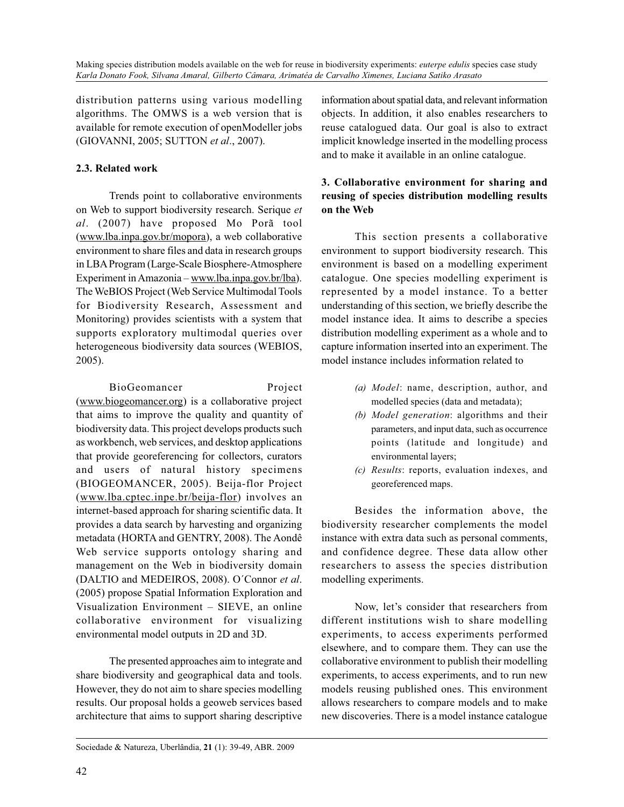distribution patterns using various modelling algorithms. The OMWS is a web version that is available for remote execution of openModeller jobs (GIOVANNI, 2005; SUTTON *et al*., 2007).

# **2.3. Related work**

Trends point to collaborative environments on Web to support biodiversity research. Serique *et al*. (2007) have proposed Mo Porã tool (www.lba.inpa.gov.br/mopora), a web collaborative environment to share files and data in research groups in LBA Program (Large-Scale Biosphere-Atmosphere Experiment in Amazonia – www.lba.inpa.gov.br/lba). The WeBIOS Project (Web Service Multimodal Tools for Biodiversity Research, Assessment and Monitoring) provides scientists with a system that supports exploratory multimodal queries over heterogeneous biodiversity data sources (WEBIOS, 2005).

BioGeomancer Project (www.biogeomancer.org) is a collaborative project that aims to improve the quality and quantity of biodiversity data. This project develops products such as workbench, web services, and desktop applications that provide georeferencing for collectors, curators and users of natural history specimens (BIOGEOMANCER, 2005). Beija-flor Project (www.lba.cptec.inpe.br/beija-flor) involves an internet-based approach for sharing scientific data. It provides a data search by harvesting and organizing metadata (HORTA and GENTRY, 2008). The Aondê Web service supports ontology sharing and management on the Web in biodiversity domain (DALTIO and MEDEIROS, 2008). O´Connor *et al*. (2005) propose Spatial Information Exploration and Visualization Environment – SIEVE, an online collaborative environment for visualizing environmental model outputs in 2D and 3D.

The presented approaches aim to integrate and share biodiversity and geographical data and tools. However, they do not aim to share species modelling results. Our proposal holds a geoweb services based architecture that aims to support sharing descriptive information about spatial data, and relevant information objects. In addition, it also enables researchers to reuse catalogued data. Our goal is also to extract implicit knowledge inserted in the modelling process and to make it available in an online catalogue.

# **3. Collaborative environment for sharing and reusing of species distribution modelling results on the Web**

This section presents a collaborative environment to support biodiversity research. This environment is based on a modelling experiment catalogue. One species modelling experiment is represented by a model instance. To a better understanding of this section, we briefly describe the model instance idea. It aims to describe a species distribution modelling experiment as a whole and to capture information inserted into an experiment. The model instance includes information related to

- *(a) Model*: name, description, author, and modelled species (data and metadata);
- *(b) Model generation*: algorithms and their parameters, and input data, such as occurrence points (latitude and longitude) and environmental layers;
- *(c) Results*: reports, evaluation indexes, and georeferenced maps.

Besides the information above, the biodiversity researcher complements the model instance with extra data such as personal comments, and confidence degree. These data allow other researchers to assess the species distribution modelling experiments.

Now, let's consider that researchers from different institutions wish to share modelling experiments, to access experiments performed elsewhere, and to compare them. They can use the collaborative environment to publish their modelling experiments, to access experiments, and to run new models reusing published ones. This environment allows researchers to compare models and to make new discoveries. There is a model instance catalogue

Sociedade & Natureza, Uberlândia, **21** (1): 39-49, ABR. 2009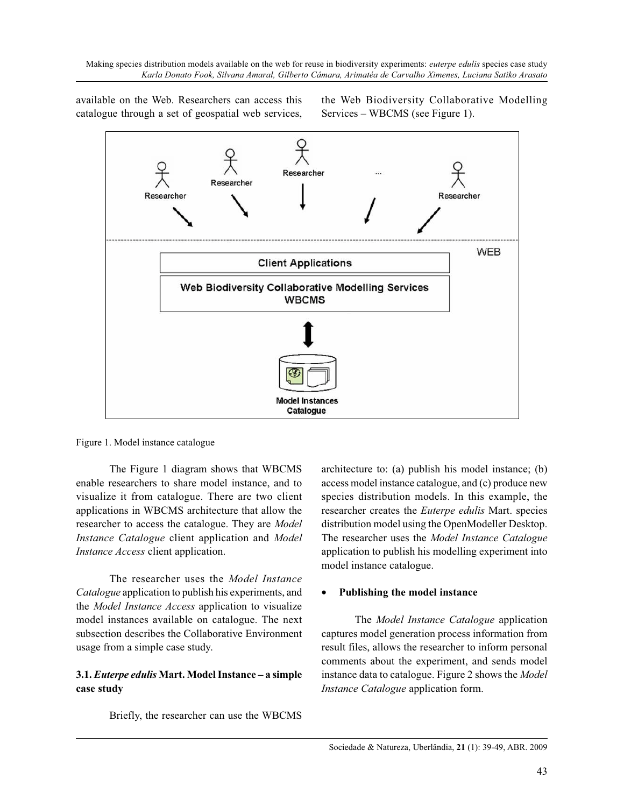available on the Web. Researchers can access this catalogue through a set of geospatial web services, the Web Biodiversity Collaborative Modelling Services – WBCMS (see Figure 1).



Figure 1. Model instance catalogue

The Figure 1 diagram shows that WBCMS enable researchers to share model instance, and to visualize it from catalogue. There are two client applications in WBCMS architecture that allow the researcher to access the catalogue. They are *Model Instance Catalogue* client application and *Model Instance Access* client application.

The researcher uses the *Model Instance Catalogue* application to publish his experiments, and the *Model Instance Access* application to visualize model instances available on catalogue. The next subsection describes the Collaborative Environment usage from a simple case study.

## **3.1.** *Euterpe edulis* **Mart. Model Instance – a simple case study**

Briefly, the researcher can use the WBCMS

architecture to: (a) publish his model instance; (b) access model instance catalogue, and (c) produce new species distribution models. In this example, the researcher creates the *Euterpe edulis* Mart. species distribution model using the OpenModeller Desktop. The researcher uses the *Model Instance Catalogue* application to publish his modelling experiment into model instance catalogue.

#### •**Publishing the model instance**

The *Model Instance Catalogue* application captures model generation process information from result files, allows the researcher to inform personal comments about the experiment, and sends model instance data to catalogue. Figure 2 shows the *Model Instance Catalogue* application form.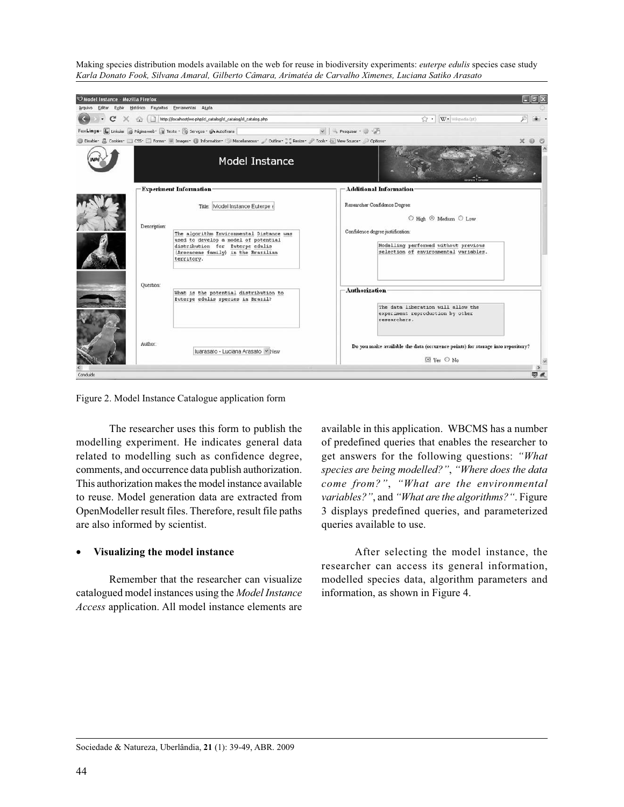

Figure 2. Model Instance Catalogue application form

The researcher uses this form to publish the modelling experiment. He indicates general data related to modelling such as confidence degree, comments, and occurrence data publish authorization. This authorization makes the model instance available to reuse. Model generation data are extracted from OpenModeller result files. Therefore, result file paths are also informed by scientist.

#### •**Visualizing the model instance**

Remember that the researcher can visualize catalogued model instances using the *Model Instance Access* application. All model instance elements are

available in this application. WBCMS has a number of predefined queries that enables the researcher to get answers for the following questions: *"What species are being modelled?"*, *"Where does the data come from?"*, *"What are the environmental variables?"*, and *"What are the algorithms?"*. Figure 3 displays predefined queries, and parameterized queries available to use.

After selecting the model instance, the researcher can access its general information, modelled species data, algorithm parameters and information, as shown in Figure 4.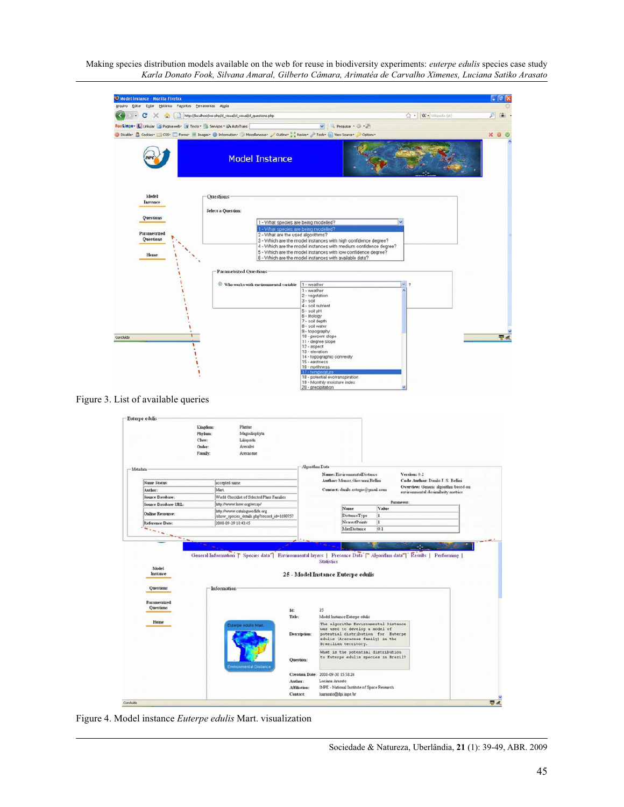| Model Instance - Mozilla Firefox                                    |                                                                          |                                                                                                                                                                                       |                                                                                                                                                                                                                                                                                                                                                                                                                                    |   | $ \sigma$ $\times$ |
|---------------------------------------------------------------------|--------------------------------------------------------------------------|---------------------------------------------------------------------------------------------------------------------------------------------------------------------------------------|------------------------------------------------------------------------------------------------------------------------------------------------------------------------------------------------------------------------------------------------------------------------------------------------------------------------------------------------------------------------------------------------------------------------------------|---|--------------------|
|                                                                     | Arquivo Editar Egibir Histórico Fayoritos Eerramentas Aluda              |                                                                                                                                                                                       |                                                                                                                                                                                                                                                                                                                                                                                                                                    |   |                    |
| $\mathbf{C}$<br>$\cdot$<br>$\times$                                 | http://localhost/ws-php/d_visual/d_visual/d_questions.php<br><b>COL</b>  | ☆ We Wingeda (pt)                                                                                                                                                                     |                                                                                                                                                                                                                                                                                                                                                                                                                                    |   |                    |
|                                                                     | FoxLingo - L Linkular B Página web - T Texto - B Serviços - GA AutoTrans |                                                                                                                                                                                       | v + Pesquisar + 22 + 25                                                                                                                                                                                                                                                                                                                                                                                                            |   |                    |
|                                                                     |                                                                          | O Disable * & Cookies * El CSS * El Frams * M Images * 10 Information * @ Macellaneous * of Outline * Resize * # Tools * & View Source *                                              | Options*                                                                                                                                                                                                                                                                                                                                                                                                                           |   | $\times$ 0 0       |
|                                                                     |                                                                          | <b>Model Instance</b>                                                                                                                                                                 |                                                                                                                                                                                                                                                                                                                                                                                                                                    |   |                    |
| Model<br>Instance<br>Questions<br>Parametrized<br>Questions<br>Home |                                                                          | Ouestions<br><b>Select a Question:</b><br>1 - What species are being modelled?<br>1 - What species are being modelled?<br>2 - What are the used algorithms?<br>Parametrized Questions | 3 - Which are the model instances with high confidence degree?<br>4 - Which are the model instances with medium confidence degree?<br>5 - Which are the model instances with low confidence degree?<br>6 - Which are the model instances with available data?                                                                                                                                                                      |   |                    |
| Concluido                                                           |                                                                          | $\odot$ Who works with environmental variable                                                                                                                                         | 1 - weather<br>1 - weather<br>2 - vegetation<br>$3 - sol$<br>4 - soil nutrient<br>$5 -$ soil $pH$<br>8 - litology<br>7 - soil depth<br>8 - soil water<br>9 - topography<br>10 - percent slope<br>11 - degree slope<br>$12 - aspect$<br>13 - elevation<br>14 - topographic convexity<br>15 - eastness<br>16 - northness<br>17 - temperature<br>18 - potential evotranspiration<br>19 - Monthly moisture index<br>20 - precipitation | w | 平点                 |

Figure 3. List of available queries

|                                   | Kingdom:      | Plantae                                     |                |                                                                                                                                                                                                               |       |              |                        |
|-----------------------------------|---------------|---------------------------------------------|----------------|---------------------------------------------------------------------------------------------------------------------------------------------------------------------------------------------------------------|-------|--------------|------------------------|
|                                   | Phylum:       | Magnoliophyta                               |                |                                                                                                                                                                                                               |       |              |                        |
|                                   | Class:        | Liliopsida                                  |                |                                                                                                                                                                                                               |       |              |                        |
|                                   | Order:        | <b>Arecales</b>                             |                |                                                                                                                                                                                                               |       |              |                        |
|                                   | Family:       | Arecaceae                                   |                |                                                                                                                                                                                                               |       |              |                        |
|                                   |               |                                             |                |                                                                                                                                                                                                               |       |              |                        |
| Metadata                          |               |                                             | Algorithm Data |                                                                                                                                                                                                               |       |              |                        |
|                                   |               |                                             |                | Name: EnvironmentalDistance                                                                                                                                                                                   |       | Version: 0.2 |                        |
| Name Status:                      | accepted name |                                             |                | Author: Monoz. Giovanni Bellini<br>Code Author: Danilo J. S. Bellini<br>Overview: Generic algorithm based on<br>Contact: daulo.estagio@gmail.com<br>environmental dissimilarity metrics                       |       |              |                        |
| Author:                           | Mart.         |                                             |                |                                                                                                                                                                                                               |       |              |                        |
| Source Database:                  |               | World Checklist of Selected Plant Families  |                |                                                                                                                                                                                                               |       |              |                        |
| Source Database URL:              |               | http://www.kew.org/wcsp/                    |                |                                                                                                                                                                                                               |       | Parameters:  |                        |
| Online Resource:                  |               | http://www.catalogueofafe.org               |                | Name                                                                                                                                                                                                          | Value |              |                        |
|                                   |               | /show_species_details.php?record_id=1690757 |                | Distance Type                                                                                                                                                                                                 | ı     |              |                        |
| <b>Reference Date:</b>            |               | 2008-09-29 18:43:45                         |                | <b>NearestPoints</b>                                                                                                                                                                                          | ı     |              |                        |
| <b><i><u>Allandration</u></i></b> |               |                                             |                | MaxDistance                                                                                                                                                                                                   | 0.1   |              |                        |
|                                   |               |                                             |                |                                                                                                                                                                                                               |       |              | <b>Service Control</b> |
| Model<br>Instance                 |               |                                             |                | General Information T Species data <sup>7</sup> Environmental layers   Presence Data <sup>7</sup> Algorithm data <sup>7</sup> Results   Performing<br><b>Statistics</b><br>25 - Model Instance Euterpe edulis |       |              |                        |
|                                   |               |                                             |                |                                                                                                                                                                                                               |       |              |                        |
| Questions                         | Information   |                                             |                |                                                                                                                                                                                                               |       |              |                        |
| Parametrized                      |               |                                             |                |                                                                                                                                                                                                               |       |              |                        |
| Questions                         |               |                                             |                |                                                                                                                                                                                                               |       |              |                        |
|                                   |               |                                             | Id:<br>Title:  | 25<br>Model Instance Euterpe edulis                                                                                                                                                                           |       |              |                        |
| Home                              |               |                                             |                |                                                                                                                                                                                                               |       |              |                        |
|                                   |               | Euterpe edulis Mart.                        | Description:   | The algorithm Environmental Distance<br>was used to develop a model of<br>potential distribution for Euterpe                                                                                                  |       |              |                        |
|                                   |               |                                             |                | edulis (Arecaceae family) in the<br>Brazilian territory.                                                                                                                                                      |       |              |                        |
|                                   |               |                                             |                | What is the potential distribution                                                                                                                                                                            |       |              |                        |
|                                   |               | <b>Environmental Distance</b>               | Question:      | to Euterpe edulis species in Brazil?                                                                                                                                                                          |       |              |                        |
|                                   |               |                                             |                | Creation Date: 2008-09-30 15:58:26                                                                                                                                                                            |       |              |                        |
|                                   |               |                                             | Author:        | Luciana Arasato                                                                                                                                                                                               |       |              |                        |
|                                   |               |                                             | Affiliation:   | INPE - National Institute of Space Research                                                                                                                                                                   |       |              |                        |

Figure 4. Model instance *Euterpe edulis* Mart. visualization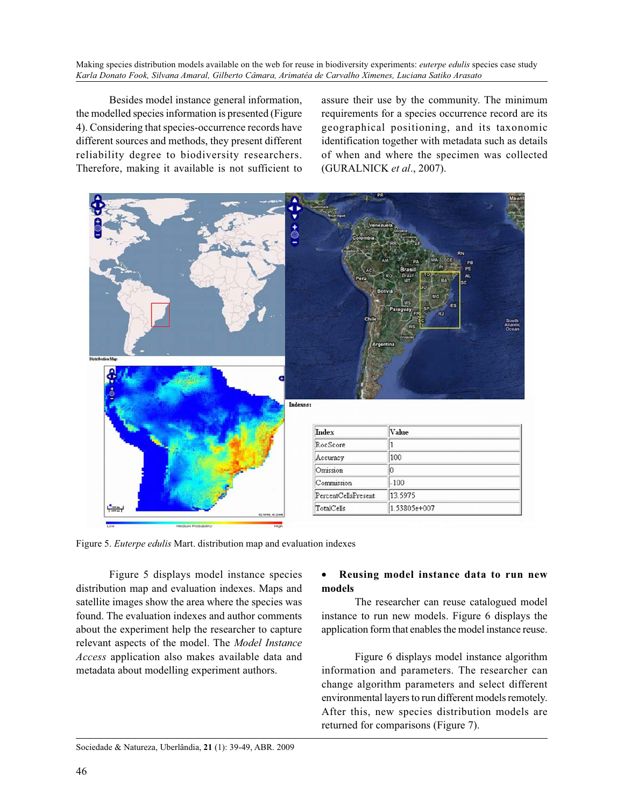Besides model instance general information, the modelled species information is presented (Figure 4). Considering that species-occurrence records have different sources and methods, they present different reliability degree to biodiversity researchers. Therefore, making it available is not sufficient to

assure their use by the community. The minimum requirements for a species occurrence record are its geographical positioning, and its taxonomic identification together with metadata such as details of when and where the specimen was collected (GURALNICK *et al*., 2007).



Figure 5. *Euterpe edulis* Mart. distribution map and evaluation indexes

Figure 5 displays model instance species distribution map and evaluation indexes. Maps and satellite images show the area where the species was found. The evaluation indexes and author comments about the experiment help the researcher to capture relevant aspects of the model. The *Model Instance Access* application also makes available data and metadata about modelling experiment authors.

#### • **Reusing model instance data to run new models**

The researcher can reuse catalogued model instance to run new models. Figure 6 displays the application form that enables the model instance reuse.

Figure 6 displays model instance algorithm information and parameters. The researcher can change algorithm parameters and select different environmental layers to run different models remotely. After this, new species distribution models are returned for comparisons (Figure 7).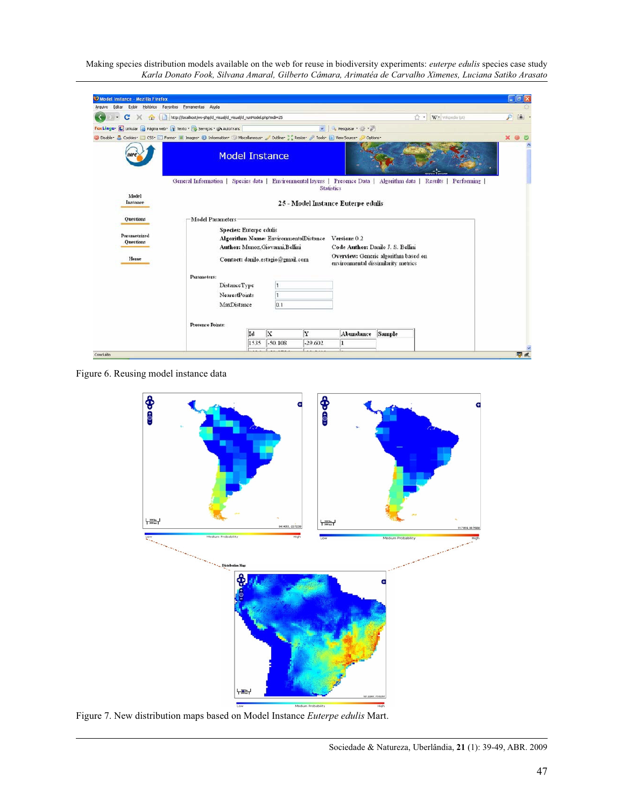| Model Instance - Mozilla Firefox                                                                                          |                                                                                                                  |      |                                  |              |                                                         |                                   |            | 二回             |  |  |
|---------------------------------------------------------------------------------------------------------------------------|------------------------------------------------------------------------------------------------------------------|------|----------------------------------|--------------|---------------------------------------------------------|-----------------------------------|------------|----------------|--|--|
| Exibir Histórico Fayoritos Ferramentas Ajuda<br>Editar<br>Arguivo                                                         |                                                                                                                  |      |                                  |              |                                                         |                                   |            |                |  |  |
| http://localhost/ws-php/cl_visual/cl_visual/cl_runModel.php?mdi=25<br>W - Whoeda (pt)<br>c<br>57.4<br>×<br>(n)            |                                                                                                                  |      |                                  |              |                                                         |                                   |            | P<br>圖         |  |  |
| FaxLinga . L. Linkular & Página web . T Texto . Serviços . @ AutoTrans                                                    |                                                                                                                  |      |                                  | $\mathbf{v}$ | $-1$<br>Pesquisar *                                     |                                   |            |                |  |  |
| O Disable : A Cookies Continue CSS - Therms C Images O Information C Miscellaneous Coutine C Resize C Tools D View Source |                                                                                                                  |      |                                  |              | Options-                                                |                                   |            | $\pmb{\times}$ |  |  |
|                                                                                                                           | <b>Model Instance</b>                                                                                            |      |                                  |              |                                                         |                                   |            |                |  |  |
| Model<br>Instance                                                                                                         | General Information   Species data   Environmental layers   Presence Data                                        |      |                                  |              | <b>Statistics</b><br>25 - Model Instance Euterpe edulis | Algorithm data   Results          | Performing |                |  |  |
| Questions                                                                                                                 | Model Parameters                                                                                                 |      |                                  |              |                                                         |                                   |            |                |  |  |
| Parametrized<br><b>Questions</b>                                                                                          | Species: Euterpe edulis                                                                                          |      | Author: Munoz, Giovanni, Bellini |              | Algorithm Name: EnvironmentalDistance Version: 0.2      | Code Author: Danilo J. S. Bellini |            |                |  |  |
| Home                                                                                                                      | Overview: Generic algorithm based on<br>Contact: danilo.estagio@gmail.com<br>environmental dissimilarity metrics |      |                                  |              |                                                         |                                   |            |                |  |  |
|                                                                                                                           | Parameters:<br>DistanceType<br><b>NearestPoints</b><br>MaxDistance<br><b>Presence Points:</b>                    | 0.1  |                                  |              |                                                         |                                   |            |                |  |  |
|                                                                                                                           |                                                                                                                  | Id   | X                                | Y            | Abundance                                               | Sample                            |            |                |  |  |
|                                                                                                                           |                                                                                                                  | 1535 | $-50.108$                        | $-29.602$    | 1                                                       |                                   |            |                |  |  |
| Concluido                                                                                                                 |                                                                                                                  |      |                                  |              |                                                         |                                   |            | 平点             |  |  |

Figure 6. Reusing model instance data



Figure 7. New distribution maps based on Model Instance *Euterpe edulis* Mart.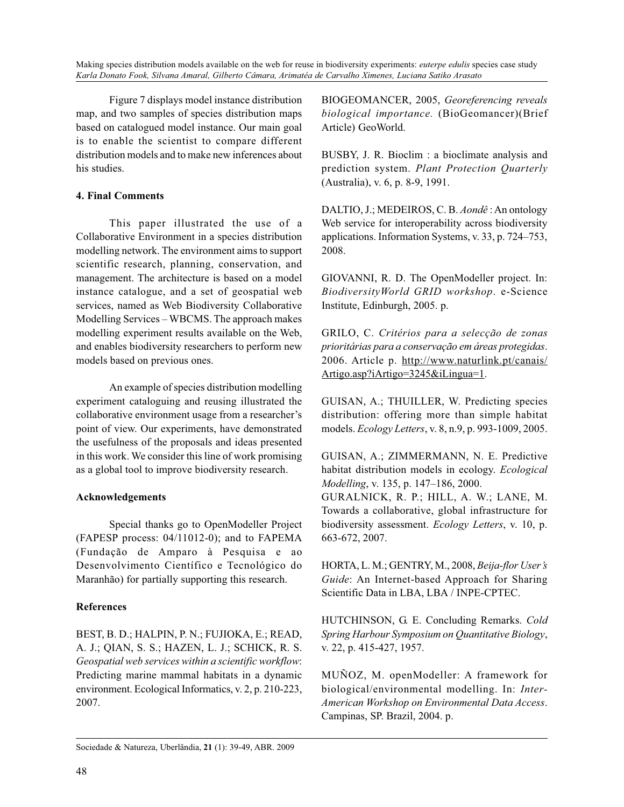Figure 7 displays model instance distribution map, and two samples of species distribution maps based on catalogued model instance. Our main goal is to enable the scientist to compare different distribution models and to make new inferences about his studies.

#### **4. Final Comments**

This paper illustrated the use of a Collaborative Environment in a species distribution modelling network. The environment aims to support scientific research, planning, conservation, and management. The architecture is based on a model instance catalogue, and a set of geospatial web services, named as Web Biodiversity Collaborative Modelling Services – WBCMS. The approach makes modelling experiment results available on the Web, and enables biodiversity researchers to perform new models based on previous ones.

An example of species distribution modelling experiment cataloguing and reusing illustrated the collaborative environment usage from a researcher's point of view. Our experiments, have demonstrated the usefulness of the proposals and ideas presented in this work. We consider this line of work promising as a global tool to improve biodiversity research.

#### **Acknowledgements**

Special thanks go to OpenModeller Project (FAPESP process: 04/11012-0); and to FAPEMA (Fundação de Amparo à Pesquisa e ao Desenvolvimento Científico e Tecnológico do Maranhão) for partially supporting this research.

#### **References**

BEST, B. D.; HALPIN, P. N.; FUJIOKA, E.; READ, A. J.; QIAN, S. S.; HAZEN, L. J.; SCHICK, R. S. *Geospatial web services within a scientific workflow*: Predicting marine mammal habitats in a dynamic environment. Ecological Informatics, v. 2, p. 210-223, 2007.

BIOGEOMANCER, 2005, *Georeferencing reveals biological importance.* (BioGeomancer)(Brief Article) GeoWorld.

BUSBY, J. R. Bioclim : a bioclimate analysis and prediction system. *Plant Protection Quarterly* (Australia), v. 6, p. 8-9, 1991.

DALTIO, J.; MEDEIROS, C. B. *Aondê* : An ontology Web service for interoperability across biodiversity applications. Information Systems, v. 33, p. 724–753, 2008.

GIOVANNI, R. D. The OpenModeller project. In: *BiodiversityWorld GRID workshop*. e-Science Institute, Edinburgh, 2005. p.

GRILO, C. *Critérios para a selecção de zonas prioritárias para a conservação em áreas protegidas*. 2006. Article p. http://www.naturlink.pt/canais/ Artigo.asp?iArtigo=3245&iLingua=1.

GUISAN, A.; THUILLER, W. Predicting species distribution: offering more than simple habitat models. *Ecology Letters*, v. 8, n.9, p. 993-1009, 2005.

GUISAN, A.; ZIMMERMANN, N. E. Predictive habitat distribution models in ecology. *Ecological Modelling*, v. 135, p. 147–186, 2000.

GURALNICK, R. P.; HILL, A. W.; LANE, M. Towards a collaborative, global infrastructure for biodiversity assessment. *Ecology Letters*, v. 10, p. 663-672, 2007.

HORTA, L. M.; GENTRY, M., 2008, *Beija-flor User's Guide*: An Internet-based Approach for Sharing Scientific Data in LBA, LBA / INPE-CPTEC.

HUTCHINSON, G. E. Concluding Remarks. *Cold Spring Harbour Symposium on Quantitative Biology*, v. 22, p. 415-427, 1957.

MUÑOZ, M. openModeller: A framework for biological/environmental modelling. In: *Inter-American Workshop on Environmental Data Access*. Campinas, SP. Brazil, 2004. p.